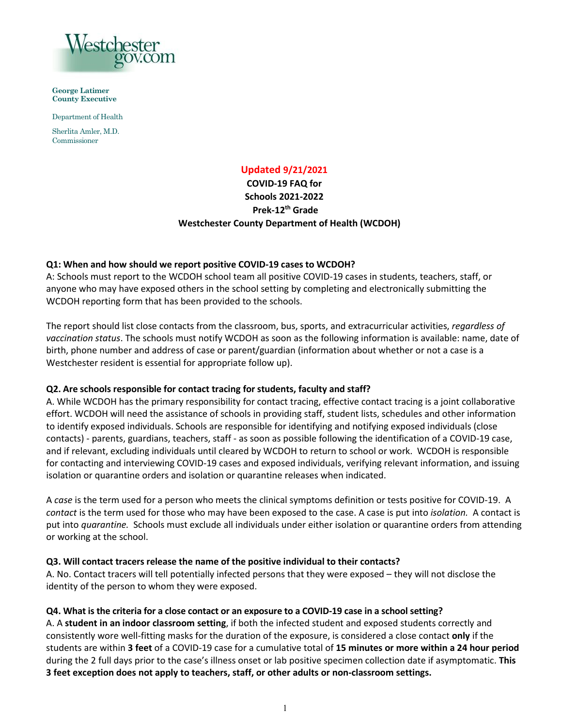

**George Latimer County Executive** 

Department of Health

Sherlita Amler, M.D. Commissioner

#### **Updated 9/21/2021**

 **Schools 2021-2022 Prek-12th Grade Westchester County Department of Health (WCDOH) COVID-19 FAQ for** 

#### **Q1: When and how should we report positive COVID-19 cases to WCDOH?**

 A: Schools must report to the WCDOH school team all positive COVID-19 cases in students, teachers, staff, or anyone who may have exposed others in the school setting by completing and electronically submitting the WCDOH reporting form that has been provided to the schools.

The report should list close contacts from the classroom, bus, sports, and extracurricular activities, *regardless of vaccination status*. The schools must notify WCDOH as soon as the following information is available: name, date of birth, phone number and address of case or parent/guardian (information about whether or not a case is a Westchester resident is essential for appropriate follow up).

# **Q2. Are schools responsible for contact tracing for students, faculty and staff?**

 effort. WCDOH will need the assistance of schools in providing staff, student lists, schedules and other information to identify exposed individuals. Schools are responsible for identifying and notifying exposed individuals (close and if relevant, excluding individuals until cleared by WCDOH to return to school or work. WCDOH is responsible A. While WCDOH has the primary responsibility for contact tracing, effective contact tracing is a joint collaborative contacts) - parents, guardians, teachers, staff - as soon as possible following the identification of a COVID-19 case, for contacting and interviewing COVID-19 cases and exposed individuals, verifying relevant information, and issuing isolation or quarantine orders and isolation or quarantine releases when indicated.

put into *quarantine*. Schools must exclude all individuals under either isolation or quarantine orders from attending A *case* is the term used for a person who meets the clinical symptoms definition or tests positive for COVID-19. A *contact* is the term used for those who may have been exposed to the case. A case is put into *isolation.* A contact is or working at the school.

#### **Q3. Will contact tracers release the name of the positive individual to their contacts?**

 A. No. Contact tracers will tell potentially infected persons that they were exposed – they will not disclose the identity of the person to whom they were exposed.

#### **Q4. What is the criteria for a close contact or an exposure to a COVID-19 case in a school setting?**

 **3 feet exception does not apply to teachers, staff, or other adults or non-classroom settings.**  A. A **student in an indoor classroom setting**, if both the infected student and exposed students correctly and consistently wore well-fitting masks for the duration of the exposure, is considered a close contact **only** if the students are within **3 feet** of a COVID-19 case for a cumulative total of **15 minutes or more within a 24 hour period**  during the 2 full days prior to the case's illness onset or lab positive specimen collection date if asymptomatic. **This**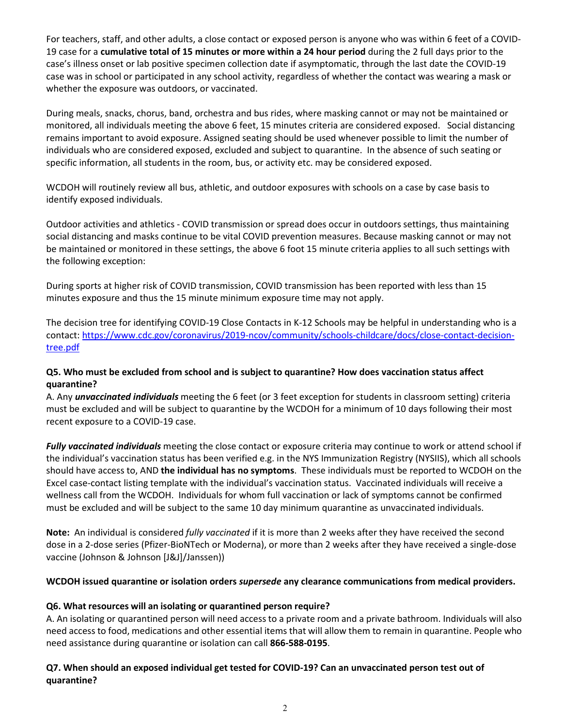For teachers, staff, and other adults, a close contact or exposed person is anyone who was within 6 feet of a COVID- 19 case for a **cumulative total of 15 minutes or more within a 24 hour period** during the 2 full days prior to the case's illness onset or lab positive specimen collection date if asymptomatic, through the last date the COVID-19 case was in school or participated in any school activity, regardless of whether the contact was wearing a mask or whether the exposure was outdoors, or vaccinated.

 monitored, all individuals meeting the above 6 feet, 15 minutes criteria are considered exposed. Social distancing individuals who are considered exposed, excluded and subject to quarantine. In the absence of such seating or specific information, all students in the room, bus, or activity etc. may be considered exposed. During meals, snacks, chorus, band, orchestra and bus rides, where masking cannot or may not be maintained or remains important to avoid exposure. Assigned seating should be used whenever possible to limit the number of

WCDOH will routinely review all bus, athletic, and outdoor exposures with schools on a case by case basis to identify exposed individuals.

 Outdoor activities and athletics - COVID transmission or spread does occur in outdoors settings, thus maintaining social distancing and masks continue to be vital COVID prevention measures. Because masking cannot or may not be maintained or monitored in these settings, the above 6 foot 15 minute criteria applies to all such settings with the following exception:

 During sports at higher risk of COVID transmission, COVID transmission has been reported with less than 15 minutes exposure and thus the 15 minute minimum exposure time may not apply.

The decision tree for identifying COVID-19 Close Contacts in K-12 Schools may be helpful in understanding who is a contact: https://www.cdc.gov/coronavirus/2019-ncov/community/schools-childcare/docs/close-contact-decisiontree.pdf

#### **Q5. Who must be excluded from school and is subject to quarantine? How does vaccination status affect quarantine?**

 recent exposure to a COVID-19 case. A. Any *unvaccinated individuals* meeting the 6 feet (or 3 feet exception for students in classroom setting) criteria must be excluded and will be subject to quarantine by the WCDOH for a minimum of 10 days following their most

 *Fully vaccinated individuals* meeting the close contact or exposure criteria may continue to work or attend school if Excel case-contact listing template with the individual's vaccination status. Vaccinated individuals will receive a wellness call from the WCDOH. Individuals for whom full vaccination or lack of symptoms cannot be confirmed must be excluded and will be subject to the same 10 day minimum quarantine as unvaccinated individuals. the individual's vaccination status has been verified e.g. in the NYS Immunization Registry (NYSIIS), which all schools should have access to, AND **the individual has no symptoms**. These individuals must be reported to WCDOH on the

 **Note:** An individual is considered *fully vaccinated* if it is more than 2 weeks after they have received the second dose in a 2-dose series (Pfizer-BioNTech or Moderna), or more than 2 weeks after they have received a single-dose vaccine (Johnson & Johnson [J&J]/Janssen))

#### **WCDOH issued quarantine or isolation orders** *supersede* **any clearance communications from medical providers.**

# **Q6. What resources will an isolating or quarantined person require?**

 A. An isolating or quarantined person will need access to a private room and a private bathroom. Individuals will also need access to food, medications and other essential items that will allow them to remain in quarantine. People who need assistance during quarantine or isolation can call **866-588-0195**.

#### **Q7. When should an exposed individual get tested for COVID-19? Can an unvaccinated person test out of quarantine?**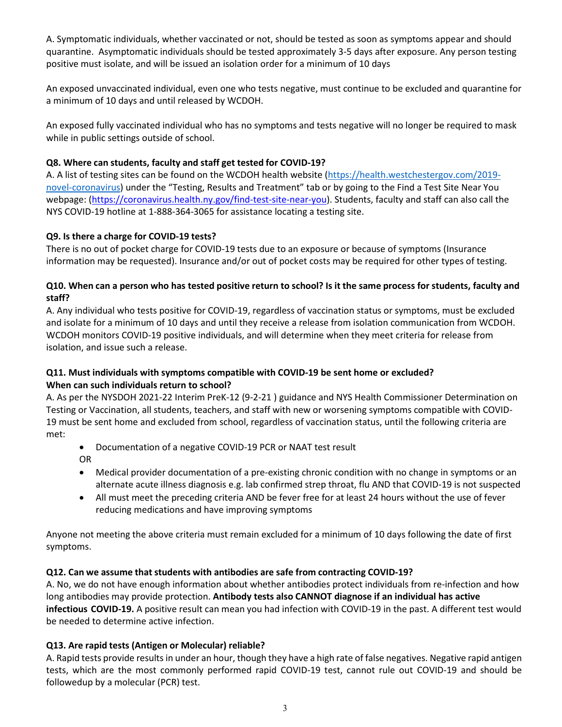A. Symptomatic individuals, whether vaccinated or not, should be tested as soon as symptoms appear and should quarantine. Asymptomatic individuals should be tested approximately 3-5 days after exposure. Any person testing positive must isolate, and will be issued an isolation order for a minimum of 10 days

 An exposed unvaccinated individual, even one who tests negative, must continue to be excluded and quarantine for a minimum of 10 days and until released by WCDOH.

 An exposed fully vaccinated individual who has no symptoms and tests negative will no longer be required to mask while in public settings outside of school.

# **Q8. Where can students, faculty and staff get tested for COVID-19?**

A. A list of testing sites can be found on the WCDOH health website (https://health.westchestergov.com/2019novel-coronavirus) under the "Testing, Results and Treatment" tab or by going to the Find a Test Site Near You NYS COVID-19 hotline at 1-888-364-3065 for assistance locating a testing site. webpage: (https://coronavirus.health.ny.gov/find-test-site-near-you). Students, faculty and staff can also call the

# **Q9. Is there a charge for COVID-19 tests?**

 There is no out of pocket charge for COVID-19 tests due to an exposure or because of symptoms (Insurance information may be requested). Insurance and/or out of pocket costs may be required for other types of testing.

# **Q10. When can a person who has tested positive return to school? Is it the same process for students, faculty and staff?**

A. Any individual who tests positive for COVID-19, regardless of vaccination status or symptoms, must be excluded and isolate for a minimum of 10 days and until they receive a release from isolation communication from WCDOH. WCDOH monitors COVID-19 positive individuals, and will determine when they meet criteria for release from isolation, and issue such a release.

# **Q11. Must individuals with symptoms compatible with COVID-19 be sent home or excluded? When can such individuals return to school?**

 A. As per the NYSDOH 2021-22 Interim PreK-12 (9-2-21 ) guidance and NYS Health Commissioner Determination on Testing or Vaccination, all students, teachers, and staff with new or worsening symptoms compatible with COVID-19 must be sent home and excluded from school, regardless of vaccination status, until the following criteria are met:

- Documentation of a negative COVID-19 PCR or NAAT test result OR
- alternate acute illness diagnosis e.g. lab confirmed strep throat, flu AND that COVID-19 is not suspected • Medical provider documentation of a pre-existing chronic condition with no change in symptoms or an
- • All must meet the preceding criteria AND be fever free for at least 24 hours without the use of fever reducing medications and have improving symptoms

 Anyone not meeting the above criteria must remain excluded for a minimum of 10 days following the date of first symptoms.

# **Q12. Can we assume that students with antibodies are safe from contracting COVID-19?**

 long antibodies may provide protection. **Antibody tests also CANNOT diagnose if an individual has active infectious COVID-19.** A positive result can mean you had infection with COVID-19 in the past. A different test would be needed to determine active infection. A. No, we do not have enough information about whether antibodies protect individuals from re-infection and how

# **Q13. Are rapid tests (Antigen or Molecular) reliable?**

 tests, which are the most commonly performed rapid COVID-19 test, cannot rule out COVID-19 and should be followedup by a molecular (PCR) test. A. Rapid tests provide results in under an hour, though they have a high rate of false negatives. Negative rapid antigen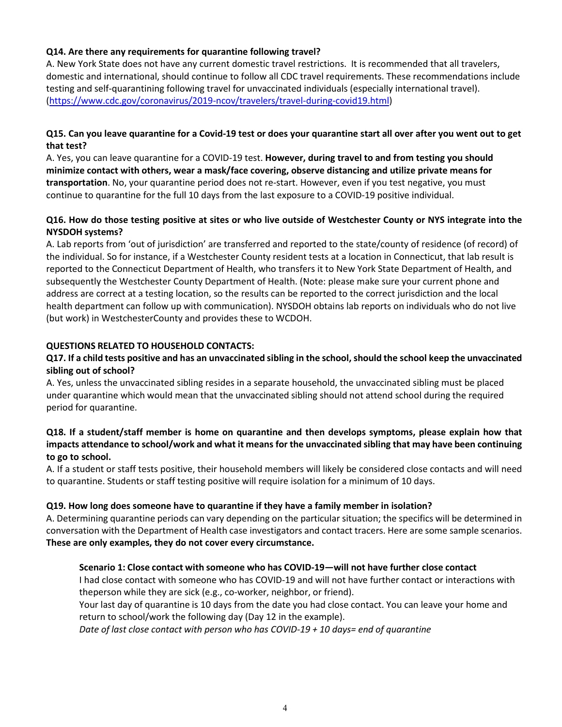## **Q14. Are there any requirements for quarantine following travel?**

 A. New York State does not have any current domestic travel restrictions. It is recommended that all travelers, domestic and international, should continue to follow all CDC travel requirements. These recommendations include testing and self-quarantining following travel for unvaccinated individuals (especially international travel). (https://www.cdc.gov/coronavirus/2019-ncov/travelers/travel-during-covid19.html)

#### **Q15. Can you leave quarantine for a Covid-19 test or does your quarantine start all over after you went out to get that test?**

 **minimize contact with others, wear a mask/face covering, observe distancing and utilize private means for transportation**. No, your quarantine period does not re-start. However, even if you test negative, you must continue to quarantine for the full 10 days from the last exposure to a COVID-19 positive individual. A. Yes, you can leave quarantine for a COVID-19 test. **However, during travel to and from testing you should** 

# **Q16. How do those testing positive at sites or who live outside of Westchester County or NYS integrate into the NYSDOH systems?**

 reported to the Connecticut Department of Health, who transfers it to New York State Department of Health, and subsequently the Westchester County Department of Health. (Note: please make sure your current phone and (but work) in WestchesterCounty and provides these to WCDOH. A. Lab reports from 'out of jurisdiction' are transferred and reported to the state/county of residence (of record) of the individual. So for instance, if a Westchester County resident tests at a location in Connecticut, that lab result is address are correct at a testing location, so the results can be reported to the correct jurisdiction and the local health department can follow up with communication). NYSDOH obtains lab reports on individuals who do not live

# **QUESTIONS RELATED TO HOUSEHOLD CONTACTS:**

# **Q17. If a child tests positive and has an unvaccinated sibling in the school, should the school keep the unvaccinated sibling out of school?**

 under quarantine which would mean that the unvaccinated sibling should not attend school during the required A. Yes, unless the unvaccinated sibling resides in a separate household, the unvaccinated sibling must be placed period for quarantine.

# **impacts attendance to school/work and what it means for the unvaccinated sibling that may have been continuing to go to school. Q18. If a student/staff member is home on quarantine and then develops symptoms, please explain how that**

 A. If a student or staff tests positive, their household members will likely be considered close contacts and will need to quarantine. Students or staff testing positive will require isolation for a minimum of 10 days.

#### **Q19. How long does someone have to quarantine if they have a family member in isolation?**

 A. Determining quarantine periods can vary depending on the particular situation; the specifics will be determined in conversation with the Department of Health case investigators and contact tracers. Here are some sample scenarios. These are only examples, they do not cover every circumstance.

# **These are only examples, they do not cover every circumstance. Scenario 1: Close contact with someone who has COVID-19—will not have further close contact**

 theperson while they are sick (e.g., co-worker, neighbor, or friend). I had close contact with someone who has COVID-19 and will not have further contact or interactions with

 Your last day of quarantine is 10 days from the date you had close contact. You can leave your home and return to school/work the following day (Day 12 in the example).

 *Date of last close contact with person who has COVID-19 + 10 days= end of quarantine*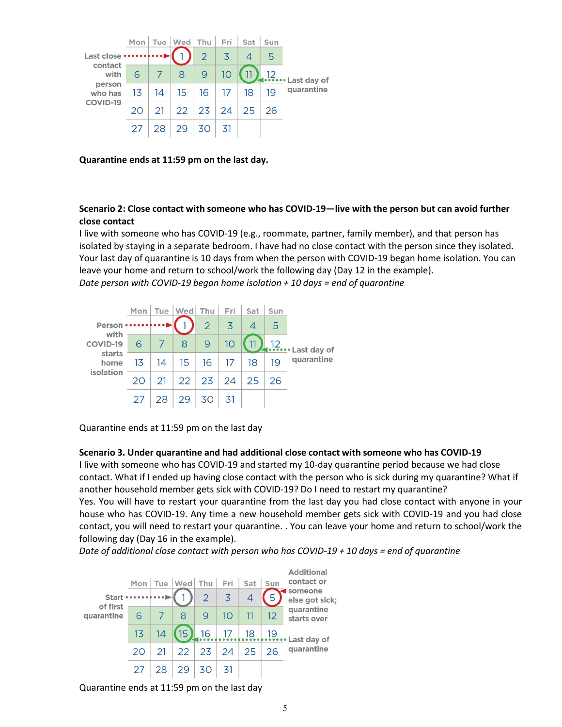

 **Quarantine ends at 11:59 pm on the last day.** 

#### **Scenario 2: Close contact with someone who has COVID-19—live with the person but can avoid further close contact**

 isolated by staying in a separate bedroom. I have had no close contact with the person since they isolated**.**  Your last day of quarantine is 10 days from when the person with COVID-19 began home isolation. You can  *Date person with COVID-19 began home isolation + 10 days = end of quarantine*  I live with someone who has COVID-19 (e.g., roommate, partner, family member), and that person has leave your home and return to school/work the following day (Day 12 in the example).

|                                                                         | Mon | Tue | Wed | Thu | Fri | Sat | <b>Sun</b> |                           |
|-------------------------------------------------------------------------|-----|-----|-----|-----|-----|-----|------------|---------------------------|
| <b>Person</b><br>with<br><b>COVID-19</b><br>starts<br>home<br>isolation |     |     |     | 2   | 3   | 4   | 5          | Last day of<br>quarantine |
|                                                                         | 6   |     | 8   | 9   | 10  |     |            |                           |
|                                                                         | 13  | 14  | 15  | 16  | 17  | 18  | 19         |                           |
|                                                                         | 20  | 21  | 22  | 23  | 24  | 25  | 26         |                           |
|                                                                         | 27  | 28  | 29  | 30  | 31  |     |            |                           |

Quarantine ends at 11:59 pm on the last day

#### **Scenario 3. Under quarantine and had additional close contact with someone who has COVID-19**

 I live with someone who has COVID-19 and started my 10-day quarantine period because we had close contact. What if I ended up having close contact with the person who is sick during my quarantine? What if another household member gets sick with COVID-19? Do I need to restart my quarantine? house who has COVID-19. Any time a new household member gets sick with COVID-19 and you had close contact, you will need to restart your quarantine. . You can leave your home and return to school/work the following day (Day 16 in the example). Yes. You will have to restart your quarantine from the last day you had close contact with anyone in your

 *Date of additional close contact with person who has COVID-19 + 10 days = end of quarantine* 



Quarantine ends at 11:59 pm on the last day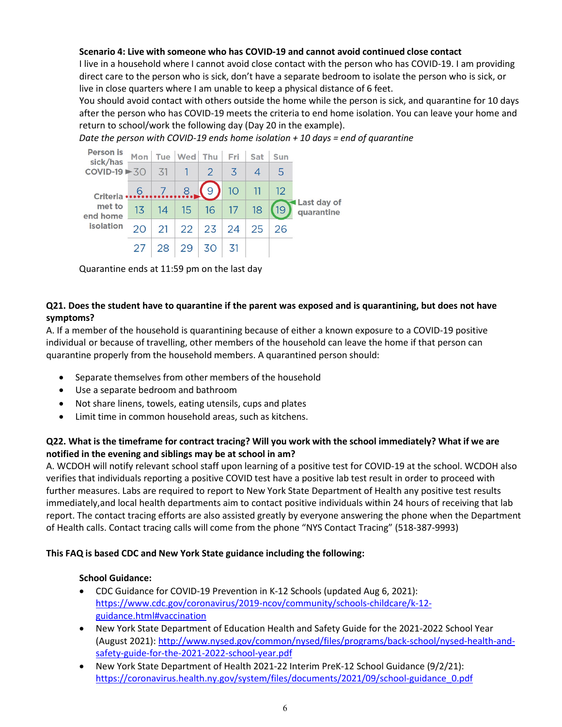#### **Scenario 4: Live with someone who has COVID-19 and cannot avoid continued close contact**

 I live in a household where I cannot avoid close contact with the person who has COVID-19. I am providing direct care to the person who is sick, don't have a separate bedroom to isolate the person who is sick, or live in close quarters where I am unable to keep a physical distance of 6 feet.

 You should avoid contact with others outside the home while the person is sick, and quarantine for 10 days after the person who has COVID-19 meets the criteria to end home isolation. You can leave your home and return to school/work the following day (Day 20 in the example).

**Person is sick/has**  COVID-19 ► 30 **Criteria •**  6 ..... **met to end home isolation**  13 20 27 **Tue Wed Thu Fri**  31 1  $\frac{7}{100}$  ... 14 15 21 22 28 29  $2 \mid 3$ ( g) <sup>10</sup> 16 17 23 24 30 31 **Sat Sun**  4 11 18 25 5 12  $(19)$ 26 **Last day of quarantine** 

 *Date the person with COVID-19 ends home isolation + 10 days = end of quarantine* 

Quarantine ends at 11:59 pm on the last day

## **Q21. Does the student have to quarantine if the parent was exposed and is quarantining, but does not have symptoms?**

 individual or because of travelling, other members of the household can leave the home if that person can quarantine properly from the household members. A quarantined person should: A. If a member of the household is quarantining because of either a known exposure to a COVID-19 positive

- Separate themselves from other members of the household
- Use a separate bedroom and bathroom
- Not share linens, towels, eating utensils, cups and plates
- Limit time in common household areas, such as kitchens.

# **Q22. What is the timeframe for contract tracing? Will you work with the school immediately? What if we are notified in the evening and siblings may be at school in am?**

 A. WCDOH will notify relevant school staff upon learning of a positive test for COVID-19 at the school. WCDOH also further measures. Labs are required to report to New York State Department of Health any positive test results of Health calls. Contact tracing calls will come from the phone "NYS Contact Tracing" (518-387-9993) verifies that individuals reporting a positive COVID test have a positive lab test result in order to proceed with immediately,and local health departments aim to contact positive individuals within 24 hours of receiving that lab report. The contact tracing efforts are also assisted greatly by everyone answering the phone when the Department

# **This FAQ is based CDC and New York State guidance including the following:**

#### **School Guidance:**

- CDC Guidance for COVID-19 Prevention in K-12 Schools (updated Aug 6, 2021): https://www.cdc.gov/coronavirus/2019-ncov/community/schools-childcare/k-12 guidance.html#vaccination
- New York State Department of Education Health and Safety Guide for the 2021-2022 School Year (August 2021): http://www.nysed.gov/common/nysed/files/programs/back-school/nysed-health-andsafety-guide-for-the-2021-2022-school-year.pdf
- New York State Department of Health 2021-22 Interim PreK-12 School Guidance (9/2/21): https://coronavirus.health.ny.gov/system/files/documents/2021/09/school-guidance\_0.pdf